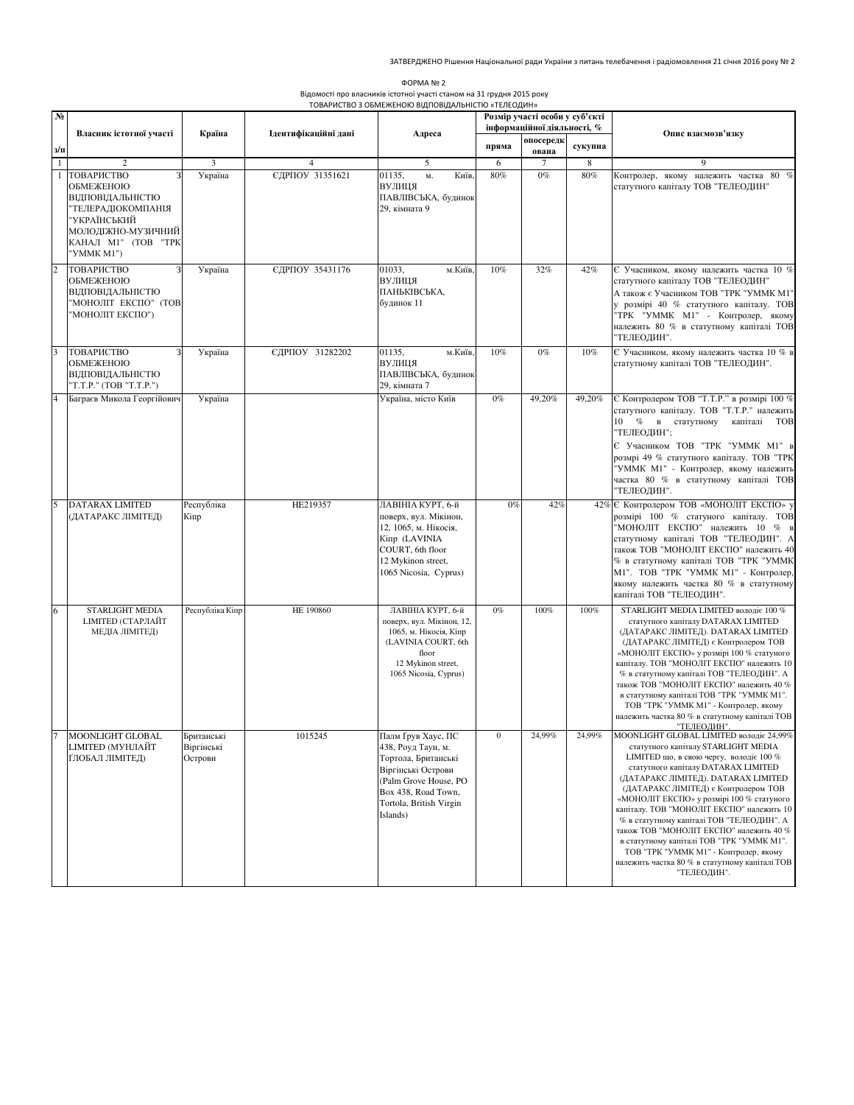| ΦΟΡΜΑ Νο 2                                                            |
|-----------------------------------------------------------------------|
| Відомості про власників істотної участі станом на 31 грудня 2015 року |
| ТОВАРИСТВО 3 ОБМЕЖЕНОЮ ВІДПОВІДАЛЬНІСТЮ «ТЕЛЕОДИН»                    |

| N <sub>2</sub> |                                                                                                                                              |                                     |                      |                                                                                                                                                                              | Розмір участі особи у суб'єкті<br>інформаційної діяльності, % |                    |         |                                                                                                                                                                                                                                                                                                                                                                                                                                                                                                                                                                                          |
|----------------|----------------------------------------------------------------------------------------------------------------------------------------------|-------------------------------------|----------------------|------------------------------------------------------------------------------------------------------------------------------------------------------------------------------|---------------------------------------------------------------|--------------------|---------|------------------------------------------------------------------------------------------------------------------------------------------------------------------------------------------------------------------------------------------------------------------------------------------------------------------------------------------------------------------------------------------------------------------------------------------------------------------------------------------------------------------------------------------------------------------------------------------|
| з/п            | Власник істотної участі                                                                                                                      | Країна                              | Ідентифікаційні дані | Адреса                                                                                                                                                                       | пряма                                                         | опосередк<br>ована | сукупна | Опис взаємозв'язку                                                                                                                                                                                                                                                                                                                                                                                                                                                                                                                                                                       |
| $\mathbf{1}$   | $\mathbf{2}$                                                                                                                                 | 3                                   | $\overline{4}$       | 5                                                                                                                                                                            | 6                                                             |                    | 8       | 9                                                                                                                                                                                                                                                                                                                                                                                                                                                                                                                                                                                        |
|                | ТОВАРИСТВО<br>ОБМЕЖЕНОЮ<br>ВІДПОВІДАЛЬНІСТЮ<br>'ТЕЛЕРАДІОКОМПАНІЯ<br>"УКРАЇНСЬКИЙ<br>МОЛОДІЖНО-МУЗИЧНИЙ<br>КАНАЛ М1" (ТОВ "ТРК<br>"YMMK M1") | Україна                             | ЄДРПОУ 31351621      | 01135,<br>М.<br>Київ.<br><b>ВУЛИЦЯ</b><br>ПАВЛІВСЬКА, будинок<br>29, кімната 9                                                                                               | $80\%$                                                        | $0\%$              | $80\%$  | Контролер, якому належить частка 80 %<br>статутного капіталу ТОВ "ТЕЛЕОДИН"                                                                                                                                                                                                                                                                                                                                                                                                                                                                                                              |
|                | ТОВАРИСТВО<br>ОБМЕЖЕНОЮ<br>ВІДПОВІДАЛЬНІСТЮ<br>"МОНОЛІТ ЕКСПО" (ТОВ<br>'МОНОЛІТ ЕКСПО")                                                      | Україна                             | ЄДРПОУ 35431176      | 01033,<br>м.Київ<br>ВУЛИЦЯ<br>ПАНЬКІВСЬКА,<br>будинок 11                                                                                                                     | 10%                                                           | 32%                | 42%     | Є Учасником, якому належить частка 10 %<br>статутного капіталу ТОВ "ТЕЛЕОДИН"<br>А також є Учасником ТОВ "ТРК "УММК М1"<br>у розмірі 40 % статутного капіталу. ТОВ<br>ТРК "УММК М1" - Контролер, якому<br>належить 80 % в статутному капіталі ТОВ<br>ТЕЛЕОДИН".                                                                                                                                                                                                                                                                                                                          |
|                | ТОВАРИСТВО<br>ОБМЕЖЕНОЮ<br>ВІДПОВІДАЛЬНІСТЮ<br>'T.T.P." (TOB "T.T.P.")                                                                       | Україна                             | ЄДРПОУ 31282202      | 01135,<br>м.Київ,<br>ВУЛИЦЯ<br>ПАВЛІВСЬКА, будинок<br>29, кімната 7                                                                                                          | 10%                                                           | $0\%$              | 10%     | Є Учасником, якому належить частка 10 % в<br>статутному капіталі ТОВ "ТЕЛЕОДИН".                                                                                                                                                                                                                                                                                                                                                                                                                                                                                                         |
|                | Баграєв Микола Георгійович                                                                                                                   | Україна                             |                      | Україна, місто Київ                                                                                                                                                          | $0\%$                                                         | 49,20%             | 49,20%  | Є Контролером ТОВ "Т.Т.Р." в розмірі 100 %<br>статутного капіталу. ТОВ "Т.Т.Р." належить<br>10 % в статутному<br>капіталі<br><b>TOB</b><br>"ТЕЛЕОДИН";<br>Є Учасником ТОВ "ТРК "УММК М1" в<br>розмрі 49 % статутного капіталу. ТОВ "ТРК<br>'УММК М1" - Контролер, якому належить<br>частка 80 % в статутному капіталі ТОВ<br>ТЕЛЕОДИН".                                                                                                                                                                                                                                                  |
|                | <b>DATARAX LIMITED</b>                                                                                                                       | Республіка                          | HE219357             | ЛАВІНІА КУРТ, 6-й                                                                                                                                                            | $0\%$                                                         | 42%                |         | 42% Є Контролером ТОВ «МОНОЛІТ ЕКСПО» у                                                                                                                                                                                                                                                                                                                                                                                                                                                                                                                                                  |
|                | (ДАТАРАКС ЛІМІТЕД)                                                                                                                           | Кіпр                                |                      | поверх, вул. Мікінон,<br>12, 1065, м. Нікосія,<br>Kiπp (LAVINIA<br>COURT, 6th floor<br>12 Mykinon street,<br>1065 Nicosia, Cyprus)                                           |                                                               |                    |         | розмірі 100 % статуного капіталу. ТОВ<br>'МОНОЛІТ ЕКСПО" належить 10 % в<br>статутному капіталі ТОВ "ТЕЛЕОДИН". А<br>також ТОВ "МОНОЛІТ ЕКСПО" належить 40<br>% в статутному капіталі ТОВ "ТРК "УММК<br>М1". ТОВ "ТРК "УММК М1" - Контролер,<br>якому належить частка 80 % в статутному<br>капіталі ТОВ "ТЕЛЕОДИН".                                                                                                                                                                                                                                                                      |
| 6              | STARLIGHT MEDIA<br><b>LIMITED (СТАРЛАЙТ</b><br>МЕДІА ЛІМІТЕД)                                                                                | Республіка Кіпр                     | <b>HE 190860</b>     | ЛАВІНІА КУРТ, 6-й<br>поверх, вул. Мікінон, 12,<br>1065, м. Нікосія, Кіпр<br>(LAVINIA COURT, 6th<br>floor<br>12 Mykinon street,<br>1065 Nicosia, Cyprus)                      | $0\%$                                                         | 100%               | 100%    | STARLIGHT MEDIA LIMITED володіє 100 %<br>статутного капіталу DATARAX LIMITED<br>(ДАТАРАКС ЛІМІТЕД). DATARAX LIMITED<br>(ДАТАРАКС ЛІМІТЕД) є Контролером ТОВ<br>«МОНОЛІТ ЕКСПО» у розмірі 100 % статуного<br>капіталу. ТОВ "МОНОЛІТ ЕКСПО" належить 10<br>% в статутному капіталі ТОВ "ТЕЛЕОДИН". А<br>також ТОВ "МОНОЛІТ ЕКСПО" належить 40 %<br>в статутному капіталі ТОВ "ТРК "УММК М1".<br>ТОВ "ТРК "УММК М1" - Контролер, якому<br>належить частка 80 % в статутному капіталі ТОВ<br>"ТЕЛЕОДИН".                                                                                     |
| l7             | MOONLIGHT GLOBAL<br>LIMITED (МУНЛАЙТ<br>ҐЛОБАЛ ЛІМІТЕД)                                                                                      | Британські<br>Віргінські<br>Острови | 1015245              | Палм Ґрув Хаус, ПС<br>438, Роуд Таун, м.<br>Тортола, Британські<br>Віргінські Острови<br>(Palm Grove House, PO<br>Box 438, Road Town,<br>Tortola, British Virgin<br>Islands) |                                                               | 24,99%             | 24,99%  | MOONLIGHT GLOBAL LIMITED володіє 24,99%<br>статутного капіталу STARLIGHT MEDIA<br>LIMITED що, в свою чергу, володіє 100 %<br>статутного капіталу DATARAX LIMITED<br>(ДАТАРАКС ЛІМІТЕД). DATARAX LIMITED<br>(ДАТАРАКС ЛІМІТЕД) є Контролером ТОВ<br>«МОНОЛІТ ЕКСПО» у розмірі 100 % статуного<br>капіталу. ТОВ "МОНОЛІТ ЕКСПО" належить 10<br>% в статутному капіталі ТОВ "ТЕЛЕОДИН". А<br>також ТОВ "МОНОЛІТ ЕКСПО" належить 40 %<br>в статутному капіталі ТОВ "ТРК "УММК М1".<br>ТОВ "ТРК "УММК М1" - Контролер, якому<br>належить частка 80 % в статутному капіталі ТОВ<br>"ТЕЛЕОДИН". |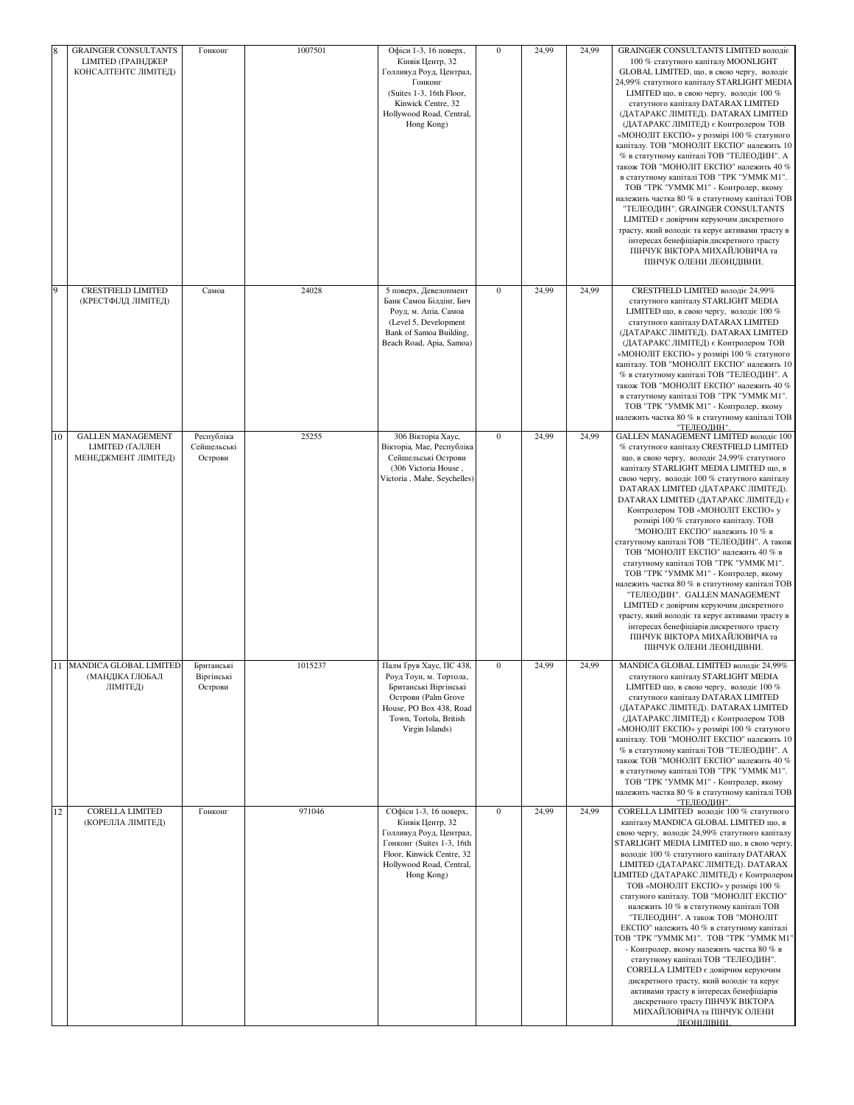| 8  | <b>GRAINGER CONSULTANTS</b>                                               | Гонконг                              | 1007501 | Офіси 1-3, 16 поверх,                                                                                                                                                     | $\bf{0}$         | 24,99 | 24,99 | <b>GRAINGER CONSULTANTS LIMITED володіє</b>                                                                                                                                                                                                                                                                                                                                                                                                                                                                                                                                                                                                                                                                                                                                                                                                                                                              |
|----|---------------------------------------------------------------------------|--------------------------------------|---------|---------------------------------------------------------------------------------------------------------------------------------------------------------------------------|------------------|-------|-------|----------------------------------------------------------------------------------------------------------------------------------------------------------------------------------------------------------------------------------------------------------------------------------------------------------------------------------------------------------------------------------------------------------------------------------------------------------------------------------------------------------------------------------------------------------------------------------------------------------------------------------------------------------------------------------------------------------------------------------------------------------------------------------------------------------------------------------------------------------------------------------------------------------|
|    | <b>LIMITED (ГРАІНДЖЕР</b><br>КОНСАЛТЕНТС ЛІМІТЕД)                         |                                      |         | Кінвік Центр, 32<br>Голливуд Роуд, Централ,<br>Гонконг<br>(Suites 1-3, 16th Floor,<br>Kinwick Centre, 32<br>Hollywood Road, Central,<br>Hong Kong)                        |                  |       |       | 100 % статутного капіталу MOONLIGHT<br>GLOBAL LIMITED, що, в свою чергу, володіє<br>24,99% статутного капіталу STARLIGHT MEDIA<br>LIMITED що, в свою чергу, володіє 100 %<br>статутного капіталу DATARAX LIMITED<br>(ДАТАРАКС ЛІМІТЕД). DATARAX LIMITED<br>(ДАТАРАКС ЛІМІТЕД) є Контролером ТОВ<br>«МОНОЛІТ ЕКСПО» у розмірі 100 % статуного<br>капіталу. ТОВ "МОНОЛІТ ЕКСПО" належить 10<br>% в статутному капіталі ТОВ "ТЕЛЕОДИН". А<br>також ТОВ "МОНОЛІТ ЕКСПО" належить 40 %<br>в статутному капіталі ТОВ "ТРК "УММК М1".<br>ТОВ "ТРК "УММК М1" - Контролер, якому<br>належить частка 80 % в статутному капіталі ТОВ<br>"ТЕЛЕОДИН". GRAINGER CONSULTANTS<br><b>LIMITED</b> є довірчим керуючим дискретного<br>трасту, який володіє та керує активами трасту в<br>інтересах бенефіціарів дискретного трасту<br>ПІНЧУК ВІКТОРА МИХАЙЛОВИЧА та<br>ПІНЧУК ОЛЕНИ ЛЕОНІДІВНИ.                             |
| 9  | CRESTFIELD LIMITED<br>(КРЕСТФІЛД ЛІМІТЕД)                                 | Самоа                                | 24028   | 5 поверх, Девелопмент<br>Банк Самоа Білдінг, Бич<br>Роуд, м. Апіа, Самоа<br>(Level 5, Development<br>Bank of Samoa Building,<br>Beach Road, Apia, Samoa)                  | $\mathbf{0}$     | 24,99 | 24,99 | CRESTFIELD LIMITED володіє 24,99%<br>статутного капіталу STARLIGHT MEDIA<br>LIMITED що, в свою чергу, володіє 100 %<br>статутного капіталу DATARAX LIMITED<br>(ДАТАРАКС ЛІМІТЕД). DATARAX LIMITED<br>(ДАТАРАКС ЛІМІТЕД) є Контролером ТОВ<br>«МОНОЛІТ ЕКСПО» у розмірі 100 % статуного<br>капіталу. ТОВ "МОНОЛІТ ЕКСПО" належить 10<br>% в статутному капіталі ТОВ "ТЕЛЕОДИН". А<br>також ТОВ "МОНОЛІТ ЕКСПО" належить 40 %<br>в статутному капіталі ТОВ "ТРК "УММК М1".<br>ТОВ "ТРК "УММК М1" - Контролер, якому<br>належить частка 80 % в статутному капіталі ТОВ<br>"ТЕЛЕОДИН".                                                                                                                                                                                                                                                                                                                       |
| 10 | <b>GALLEN MANAGEMENT</b><br><b>LIMITED (ГАЛЛЕН</b><br>МЕНЕДЖМЕНТ ЛІМІТЕД) | Республіка<br>Сейшельські<br>Острови | 25255   | 306 Вікторіа Хаус,<br>Вікторіа, Мае, Республіка<br>Сейшельські Острови<br>(306 Victoria House,<br>Victoria, Mahe, Seychelles)                                             | $\mathbf{0}$     | 24,99 | 24,99 | GALLEN MANAGEMENT LIMITED BOJIOJIE 100<br>% статутного капіталу CRESTFIELD LIMITED<br>що, в свою чергу, володіє 24,99% статутного<br>капіталу STARLIGHT MEDIA LIMITED що, в<br>свою чергу, володіє 100 % статутного капіталу<br>DATARAX LIMITED (ДАТАРАКС ЛІМІТЕД).<br><b>DATARAX LIMITED (ДАТАРАКС ЛІМІТЕД) є</b><br>Контролером ТОВ «МОНОЛІТ ЕКСПО» у<br>розмірі 100 % статуного капіталу. ТОВ<br>"МОНОЛІТ ЕКСПО" належить 10 % в<br>статутному капіталі ТОВ "ТЕЛЕОДИН". А також<br>ТОВ "МОНОЛІТ ЕКСПО" належить 40 % в<br>статутному капіталі ТОВ "ТРК "УММК М1".<br>ТОВ "ТРК "УММК М1" - Контролер, якому<br>належить частка 80 % в статутному капіталі ТОВ<br>"ТЕЛЕОДИН". GALLEN MANAGEMENT<br>LIMITED є довірчим керуючим дискретного<br>трасту, який володіє та керує активами трасту в<br>інтересах бенефіціарів дискретного трасту<br>ПІНЧУК ВІКТОРА МИХАЙЛОВИЧА та<br>ПІНЧУК ОЛЕНИ ЛЕОНІДІВНИ. |
| 11 | MANDICA GLOBAL LIMITED<br>(МАНДІКА ҐЛОБАЛ<br>ЛІМІТЕД)                     | Британські<br>Віргінські<br>Острови  | 1015237 | Палм Ґрув Хаус, ПС 438,<br>Роуд Тоун, м. Тортола,<br>Британські Віргінські<br>Острови (Palm Grove<br>House, PO Box 438, Road<br>Town, Tortola, British<br>Virgin Islands) | $\boldsymbol{0}$ | 24,99 | 24,99 | MANDICA GLOBAL LIMITED володіє 24,99%<br>статутного капіталу STARLIGHT MEDIA<br>LIMITED що, в свою чергу, володіє 100 %<br>статутного капіталу DATARAX LIMITED<br>(ДАТАРАКС ЛІМІТЕД). DATARAX LIMITED<br>(ДАТАРАКС ЛІМІТЕД) є Контролером ТОВ<br>«МОНОЛІТ ЕКСПО» у розмірі 100 % статуного<br>капіталу. ТОВ "МОНОЛІТ ЕКСПО" належить 10<br>% в статутному капіталі ТОВ "ТЕЛЕОДИН". А<br>також ТОВ "МОНОЛІТ ЕКСПО" належить 40 %<br>в статутному капіталі ТОВ "ТРК "УММК М1".<br>ТОВ "ТРК "УММК М1" - Контролер, якому<br>належить частка 80 % в статутному капіталі ТОВ<br>"ТЕЛЕОДИН"                                                                                                                                                                                                                                                                                                                    |
| 12 | <b>CORELLA LIMITED</b><br>(КОРЕЛЛА ЛІМІТЕД)                               | Гонконг                              | 971046  | СОфіси 1-3, 16 поверх,<br>Кінвік Центр, 32<br>Голливуд Роуд, Централ,<br>Гонконг (Suites 1-3, 16th<br>Floor, Kinwick Centre, 32<br>Hollywood Road, Central,<br>Hong Kong) | $\bf{0}$         | 24,99 | 24,99 | CORELLA LIMITED володіє 100 % статутного<br>капіталу MANDICA GLOBAL LIMITED що, в<br>свою чергу, володіє 24,99% статутного капіталу<br>STARLIGHT MEDIA LIMITED що, в свою чергу.<br>володіє 100 % статутного капіталу DATARAX<br>LIMITED (ДАТАРАКС ЛІМІТЕД). DATARAX<br>LIMITED (ДАТАРАКС ЛІМІТЕД) є Контролером<br>ТОВ «МОНОЛІТ ЕКСПО» у розмірі 100 %<br>статуного капіталу. ТОВ "МОНОЛІТ ЕКСПО"<br>належить 10 % в статутному капіталі ТОВ<br>"ТЕЛЕОДИН". А також ТОВ "МОНОЛІТ<br>ЕКСПО" належить 40 % в статутному капіталі<br>TOB "TPK "YMMK M1". TOB "TPK "YMMK M1<br>- Контролер, якому належить частка 80 % в<br>статутному капіталі ТОВ "ТЕЛЕОДИН".<br>CORELLA LIMITED є довірчим керуючим<br>дискретного трасту, який володіє та керує<br>активами трасту в інтересах бенефіціарів<br>дискретного трасту ПІНЧУК ВІКТОРА<br>МИХАЙЛОВИЧА та ПІНЧУК ОЛЕНИ<br>ЛЕОНІЛІВНИ.                          |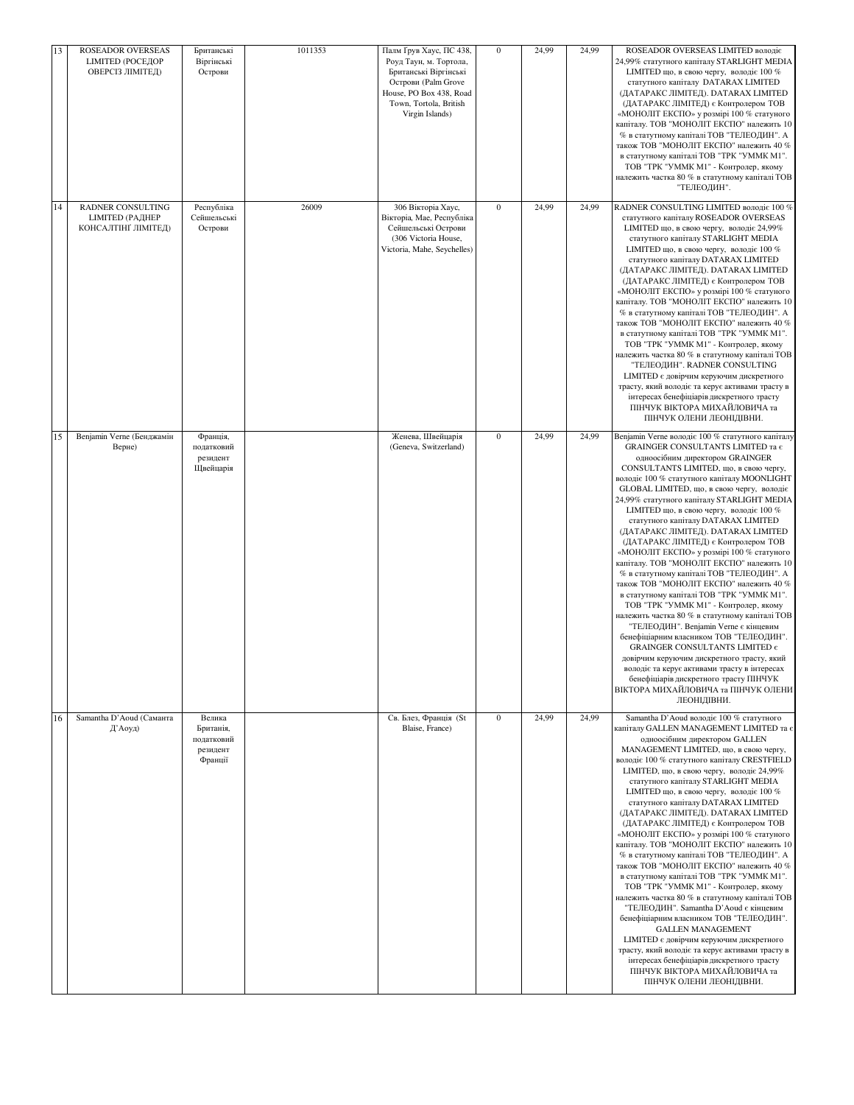|    | 13<br>ROSEADOR OVERSEAS<br><b>LIMITED (РОСЕДОР</b><br>ОВЕРСІЗ ЛІМІТЕД) | Британські<br>Віргінські<br>Острови                      | 1011353 | Палм Ґрув Хаус, ПС 438,<br>Роуд Таун, м. Тортола,<br>Британські Віргінські<br>Острови (Palm Grove<br>House, PO Box 438, Road<br>Town, Tortola, British<br>Virgin Islands) | $\boldsymbol{0}$ | 24,99 | 24,99 | ROSEADOR OVERSEAS LIMITED володіє<br>24,99% статутного капіталу STARLIGHT MEDIA<br>LIMITED що, в свою чергу, володіє 100 %<br>статутного капіталу DATARAX LIMITED<br>(ДАТАРАКС ЛІМІТЕД). DATARAX LIMITED<br>(ДАТАРАКС ЛІМІТЕД) є Контролером ТОВ<br>«МОНОЛІТ ЕКСПО» у розмірі 100 % статуного<br>капіталу. ТОВ "МОНОЛІТ ЕКСПО" належить 10<br>% в статутному капіталі ТОВ "ТЕЛЕОДИН". А<br>також ТОВ "МОНОЛІТ ЕКСПО" належить 40 %<br>в статутному капіталі ТОВ "ТРК "УММК М1".<br>ТОВ "ТРК "УММК М1" - Контролер, якому<br>належить частка 80 % в статутному капіталі ТОВ<br>"ТЕЛЕОДИН".                                                                                                                                                                                                                                                                                                                                                                                                                                                                                                                                            |
|----|------------------------------------------------------------------------|----------------------------------------------------------|---------|---------------------------------------------------------------------------------------------------------------------------------------------------------------------------|------------------|-------|-------|--------------------------------------------------------------------------------------------------------------------------------------------------------------------------------------------------------------------------------------------------------------------------------------------------------------------------------------------------------------------------------------------------------------------------------------------------------------------------------------------------------------------------------------------------------------------------------------------------------------------------------------------------------------------------------------------------------------------------------------------------------------------------------------------------------------------------------------------------------------------------------------------------------------------------------------------------------------------------------------------------------------------------------------------------------------------------------------------------------------------------------------|
| 14 | RADNER CONSULTING<br><b>LIMITED (РАДНЕР</b><br>КОНСАЛТІНІ ЛІМІТЕД)     | Республіка<br>Сейшельські<br>Острови                     | 26009   | 306 Вікторіа Хаус,<br>Вікторіа, Мае, Республіка<br>Сейшельські Острови<br>(306 Victoria House,<br>Victoria, Mahe, Seychelles)                                             | $\boldsymbol{0}$ | 24,99 | 24,99 | RADNER CONSULTING LIMITED BOJIOJIE 100 %<br>статутного капіталу ROSEADOR OVERSEAS<br>LIMITED що, в свою чергу, володіє 24,99%<br>статутного капіталу STARLIGHT MEDIA<br>LIMITED що, в свою чергу, володіє 100 %<br>статутного капіталу DATARAX LIMITED<br>(ДАТАРАКС ЛІМІТЕД). DATARAX LIMITED<br>(ДАТАРАКС ЛІМІТЕД) є Контролером ТОВ<br>«МОНОЛІТ ЕКСПО» у розмірі 100 % статуного<br>капіталу. ТОВ "МОНОЛІТ ЕКСПО" належить 10<br>% в статутному капіталі ТОВ "ТЕЛЕОДИН". А<br>також ТОВ "МОНОЛІТ ЕКСПО" належить 40 %<br>в статутному капіталі ТОВ "ТРК "УММК М1".<br>ТОВ "ТРК "УММК М1" - Контролер, якому<br>належить частка 80 % в статутному капіталі ТОВ<br>"ТЕЛЕОДИН". RADNER CONSULTING<br><b>LIMITED</b> є довірчим керуючим дискретного<br>трасту, який володіє та керує активами трасту в<br>інтересах бенефіціарів дискретного трасту<br>ПІНЧУК ВІКТОРА МИХАЙЛОВИЧА та<br>ПІНЧУК ОЛЕНИ ЛЕОНІДІВНИ.                                                                                                                                                                                                                      |
| 15 | Benjamin Verne (Бенджамін<br>Верне)                                    | Франція,<br>податковий<br>резидент<br>Щвейцарія          |         | Женева, Швейцарія<br>(Geneva, Switzerland)                                                                                                                                | $\boldsymbol{0}$ | 24,99 | 24,99 | Benjamin Verne володіє 100 % статутного капіталу<br>GRAINGER CONSULTANTS LIMITED Ta 6<br>одноосібним директором GRAINGER<br>CONSULTANTS LIMITED, що, в свою чергу,<br>володіє 100 % статутного капіталу MOONLIGHT<br>GLOBAL LIMITED, що, в свою чергу, володіє<br>24,99% статутного капіталу STARLIGHT MEDIA<br>LIMITED що, в свою чергу, володіє 100 %<br>статутного капіталу DATARAX LIMITED<br>(ДАТАРАКС ЛІМІТЕД). DATARAX LIMITED<br>(ДАТАРАКС ЛІМІТЕД) є Контролером ТОВ<br>«МОНОЛІТ ЕКСПО» у розмірі 100 % статуного<br>капіталу. ТОВ "МОНОЛІТ ЕКСПО" належить 10<br>% в статутному капіталі ТОВ "ТЕЛЕОДИН". А<br>також ТОВ "МОНОЛІТ ЕКСПО" належить 40 %<br>в статутному капіталі ТОВ "ТРК "УММК М1".<br>ТОВ "ТРК "УММК М1" - Контролер, якому<br>належить частка 80 % в статутному капіталі ТОВ<br>"ТЕЛЕОДИН". Benjamin Verne є кінцевим<br>бенефіціарним власником ТОВ "ТЕЛЕОДИН".<br>GRAINGER CONSULTANTS LIMITED $\epsilon$<br>довірчим керуючим дискретного трасту, який<br>володіє та керує активами трасту в інтересах<br>бенефіціарів дискретного трасту ПІНЧУК<br>ВІКТОРА МИХАЙЛОВИЧА та ПІНЧУК ОЛЕНИ<br>ЛЕОНІДІВНИ. |
|    | 16<br>Samantha D'Aoud (Саманта<br>Д'Аоуд)                              | Велика<br>Британія,<br>податковий<br>резидент<br>Франції |         | Св. Блез, Франція (St<br>Blaise, France)                                                                                                                                  | $\mathbf{0}$     | 24,99 | 24,99 | Samantha D'Aoud володіє 100 % статутного<br>капіталу GALLEN MANAGEMENT LIMITED та є<br>одноосібним директором GALLEN<br>MANAGEMENT LIMITED, що, в свою чергу,<br>володіє 100 % статутного капіталу CRESTFIELD<br>LIMITED, що, в свою чергу, володіє 24,99%<br>статутного капіталу STARLIGHT MEDIA<br>LIMITED що, в свою чергу, володіє 100 %<br>статутного капіталу DATARAX LIMITED<br>(ДАТАРАКС ЛІМІТЕД). DATARAX LIMITED<br>(ДАТАРАКС ЛІМІТЕД) є Контролером ТОВ<br>«МОНОЛІТ ЕКСПО» у розмірі 100 % статуного<br>капіталу. ТОВ "МОНОЛІТ ЕКСПО" належить 10<br>% в статутному капіталі ТОВ "ТЕЛЕОДИН". А<br>також ТОВ "МОНОЛІТ ЕКСПО" належить 40 %<br>в статутному капіталі ТОВ "ТРК "УММК М1".<br>ТОВ "ТРК "УММК М1" - Контролер, якому<br>належить частка 80 % в статутному капіталі ТОВ<br>"ТЕЛЕОДИН". Samantha D'Aoud є кінцевим<br>бенефіціарним власником ТОВ "ТЕЛЕОДИН".<br><b>GALLEN MANAGEMENT</b><br>LIMITED є довірчим керуючим дискретного<br>трасту, який володіє та керує активами трасту в<br>інтересах бенефіціарів дискретного трасту<br>ПІНЧУК ВІКТОРА МИХАЙЛОВИЧА та<br>ПІНЧУК ОЛЕНИ ЛЕОНІДІВНИ.                |